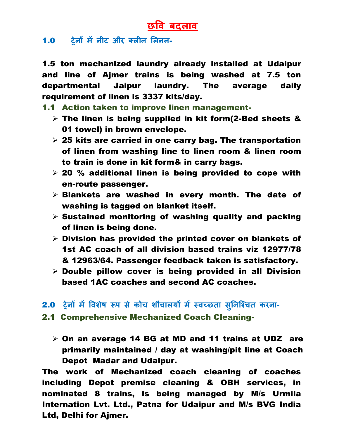## **छवि बदलाि**

## 1.0 **ट्रेनों मेंनीट और क्लीन ललनन**-

1.5 ton mechanized laundry already installed at Udaipur and line of Ajmer trains is being washed at 7.5 ton departmental Jaipur laundry. The average daily requirement of linen is 3337 kits/day.

- 1.1 Action taken to improve linen management-
	- $\triangleright$  The linen is being supplied in kit form(2-Bed sheets & 01 towel) in brown envelope.
	- $\geq$  25 kits are carried in one carry bag. The transportation of linen from washing line to linen room & linen room to train is done in kit form& in carry bags.
	- $>$  20 % additional linen is being provided to cope with en-route passenger.
	- $\triangleright$  Blankets are washed in every month. The date of washing is tagged on blanket itself.
	- $\triangleright$  Sustained monitoring of washing quality and packing of linen is being done.
	- $\triangleright$  Division has provided the printed cover on blankets of 1st AC coach of all division based trains viz 12977/78 & 12963/64. Passenger feedback taken is satisfactory.
	- $\triangleright$  Double pillow cover is being provided in all Division based 1AC coaches and second AC coaches.
- 2.0 **ट्रेनों में विशेष रूप से कोच शौचालयों मेंस्िच्छता सन ु नश्चचत करना**-
- 2.1 Comprehensive Mechanized Coach Cleaning-
	- $\triangleright$  On an average 14 BG at MD and 11 trains at UDZ are primarily maintained / day at washing/pit line at Coach Depot Madar and Udaipur.

The work of Mechanized coach cleaning of coaches including Depot premise cleaning & OBH services, in nominated 8 trains, is being managed by M/s Urmila Internation Lvt. Ltd., Patna for Udaipur and M/s BVG India Ltd, Delhi for Ajmer.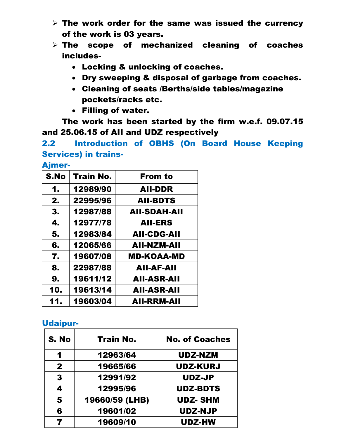- $\triangleright$  The work order for the same was issued the currency of the work is 03 years.
- $\triangleright$  The scope of mechanized cleaning of coaches includes-
	- Locking & unlocking of coaches.
	- Dry sweeping & disposal of garbage from coaches.
	- Cleaning of seats /Berths/side tables/magazine pockets/racks etc.
	- Filling of water.

The work has been started by the firm w.e.f. 09.07.15 and 25.06.15 of AII and UDZ respectively

2.2 Introduction of OBHS (On Board House Keeping Services) in trains-

Ajmer-

| S.No | <b>Train No.</b> | <b>From to</b>      |
|------|------------------|---------------------|
| 1.   | 12989/90         | <b>AII-DDR</b>      |
| 2.   | 22995/96         | <b>AII-BDTS</b>     |
| 3.   | 12987/88         | <b>AII-SDAH-AII</b> |
| 4.   | 12977/78         | <b>AII-ERS</b>      |
| 5.   | 12983/84         | <b>AII-CDG-AII</b>  |
| 6.   | 12065/66         | AII-NZM-AII         |
| 7.   | 19607/08         | <b>MD-KOAA-MD</b>   |
| 8.   | 22987/88         | <b>AII-AF-AII</b>   |
| 9.   | 19611/12         | <b>AII-ASR-AII</b>  |
| 10.  | 19613/14         | <b>AII-ASR-AII</b>  |
| 11.  | 19603/04         | <b>AII-RRM-AII</b>  |

## Udaipur-

| S. No        | <b>Train No.</b> | <b>No. of Coaches</b> |
|--------------|------------------|-----------------------|
| 1            | 12963/64         | <b>UDZ-NZM</b>        |
| $\mathbf{2}$ | 19665/66         | <b>UDZ-KURJ</b>       |
| 3            | 12991/92         | <b>UDZ-JP</b>         |
| 4            | 12995/96         | <b>UDZ-BDTS</b>       |
| 5            | 19660/59 (LHB)   | <b>UDZ-SHM</b>        |
| 6            | 19601/02         | <b>UDZ-NJP</b>        |
|              | 19609/10         | <b>UDZ-HW</b>         |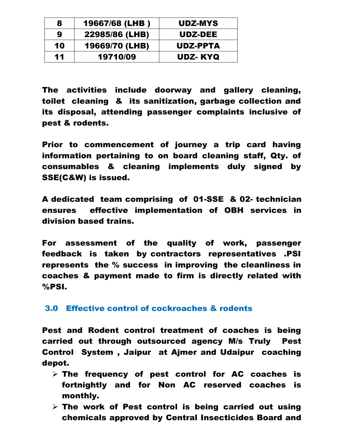| 8  | 19667/68 (LHB) | UDZ-MYS        |
|----|----------------|----------------|
| 9  | 22985/86 (LHB) | <b>UDZ-DEE</b> |
| 10 | 19669/70 (LHB) | UDZ-PPTA       |
| 11 | 19710/09       | UDZ-KYQ        |

The activities include doorway and gallery cleaning, toilet cleaning & its sanitization, garbage collection and its disposal, attending passenger complaints inclusive of pest & rodents.

Prior to commencement of journey a trip card having information pertaining to on board cleaning staff, Qty. of consumables & cleaning implements duly signed by SSE(C&W) is issued.

A dedicated team comprising of 01-SSE & 02- technician ensures effective implementation of OBH services in division based trains.

For assessment of the quality of work, passenger feedback is taken by contractors representatives .PSI represents the % success in improving the cleanliness in coaches & payment made to firm is directly related with %PSI.

## 3.0 Effective control of cockroaches & rodents

Pest and Rodent control treatment of coaches is being carried out through outsourced agency M/s Truly Pest Control System , Jaipur at Ajmer and Udaipur coaching depot.

- $\triangleright$  The frequency of pest control for AC coaches is fortnightly and for Non AC reserved coaches is monthly.
- $\triangleright$  The work of Pest control is being carried out using chemicals approved by Central Insecticides Board and